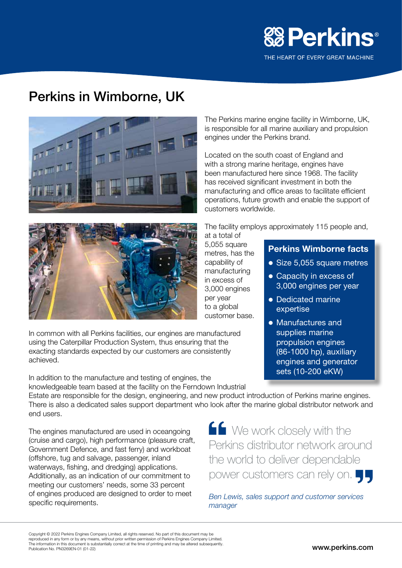

THE HEART OF EVERY GREAT MACHINE

# Perkins in Wimborne, UK





In common with all Perkins facilities, our engines are manufactured using the Caterpillar Production System, thus ensuring that the exacting standards expected by our customers are consistently achieved.

In addition to the manufacture and testing of engines, the knowledgeable team based at the facility on the Ferndown Industrial

The Perkins marine engine facility in Wimborne, UK, is responsible for all marine auxiliary and propulsion engines under the Perkins brand.

Located on the south coast of England and with a strong marine heritage, engines have been manufactured here since 1968. The facility has received significant investment in both the manufacturing and office areas to facilitate efficient operations, future growth and enable the support of customers worldwide.

The facility employs approximately 115 people and,

at a total of 5,055 square metres, has the capability of manufacturing in excess of 3,000 engines per year to a global customer base.

#### Perkins Wimborne facts

- Size 5,055 square metres
- Capacity in excess of 3,000 engines per year
- Dedicated marine expertise
- Manufactures and supplies marine propulsion engines (86-1000 hp), auxiliary engines and generator sets (10-200 eKW)

Estate are responsible for the design, engineering, and new product introduction of Perkins marine engines. There is also a dedicated sales support department who look after the marine global distributor network and end users.

The engines manufactured are used in oceangoing (cruise and cargo), high performance (pleasure craft, Government Defence, and fast ferry) and workboat (offshore, tug and salvage, passenger, inland waterways, fishing, and dredging) applications. Additionally, as an indication of our commitment to meeting our customers' needs, some 33 percent of engines produced are designed to order to meet specific requirements.

**Solution** We work closely with the Perkins distributor network around the world to deliver dependable power customers can rely on.

*Ben Lewis, sales support and customer services manager*

Copyright © 2022 Perkins Engines Company Limited, all rights reserved. No part of this document may be reproduced in any form or by any means, without prior written permission of Perkins Engines Company Limited. The information in this document is substantially correct at the time of printing and may be altered subsequently. no and the second wave of the second way concern and or printing and they be antice educationy.<br>Publication No. PN3269EN-01 (01-22) www.perkins.com